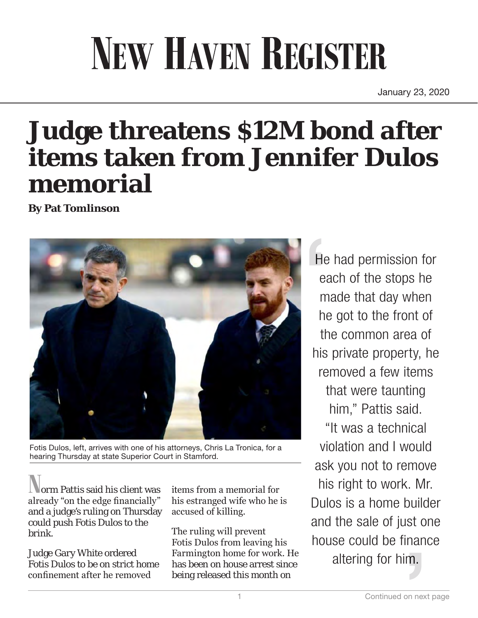## **NEW HAVEN REGISTER**

January 23, 2020

## **Judge threatens \$12M bond after items taken from Jennifer Dulos memorial**

**By Pat Tomlinson**



Fotis Dulos, left, arrives with one of his attorneys, Chris La Tronica, for a hearing Thursday at state Superior Court in Stamford.

orm Pattis said his client was already "on the edge financially" and a judge's ruling on Thursday could push Fotis Dulos to the brink.

Judge Gary White ordered Fotis Dulos to be on strict home confinement after he removed

items from a memorial for his estranged wife who he is accused of killing.

The ruling will prevent Fotis Dulos from leaving his Farmington home for work. He has been on house arrest since being released this month on

He had permission for each of the stops he made that day when he got to the front of the common area of his private property, he removed a few items that were taunting him," Pattis said.

"It was a technical violation and I would ask you not to remove his right to work. Mr. Dulos is a home builder and the sale of just one house could be finance altering for him.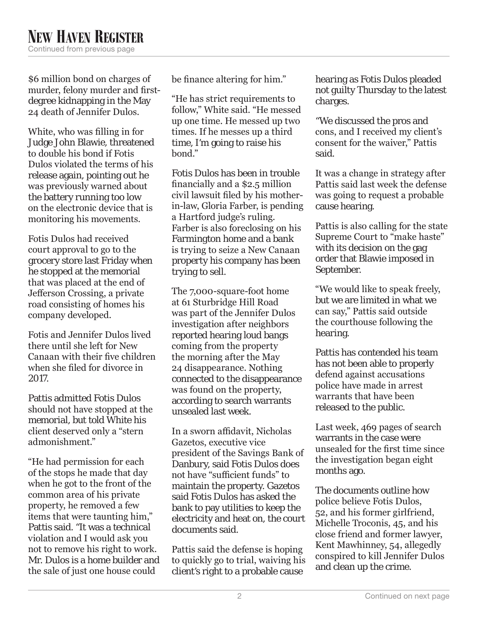\$6 million bond on charges of murder, felony murder and firstdegree kidnapping in the May 24 death of Jennifer Dulos.

White, who was filling in for Judge John Blawie, threatened to double his bond if Fotis Dulos violated the terms of his release again, pointing out he was previously warned about the battery running too low on the electronic device that is monitoring his movements.

Fotis Dulos had received court approval to go to the grocery store last Friday when he stopped at the memorial that was placed at the end of Jefferson Crossing, a private road consisting of homes his company developed.

Fotis and Jennifer Dulos lived there until she left for New Canaan with their five children when she filed for divorce in 2017.

Pattis admitted Fotis Dulos should not have stopped at the memorial, but told White his client deserved only a "stern admonishment."

"He had permission for each of the stops he made that day when he got to the front of the common area of his private property, he removed a few items that were taunting him," Pattis said. "It was a technical violation and I would ask you not to remove his right to work. Mr. Dulos is a home builder and the sale of just one house could

be finance altering for him."

"He has strict requirements to follow," White said. "He messed up one time. He messed up two times. If he messes up a third time, I'm going to raise his bond."

Fotis Dulos has been in trouble financially and a \$2.5 million civil lawsuit filed by his motherin-law, Gloria Farber, is pending a Hartford judge's ruling. Farber is also foreclosing on his Farmington home and a bank is trying to seize a New Canaan property his company has been trying to sell.

The 7,000-square-foot home at 61 Sturbridge Hill Road was part of the Jennifer Dulos investigation after neighbors reported hearing loud bangs coming from the property the morning after the May 24 disappearance. Nothing connected to the disappearance was found on the property, according to search warrants unsealed last week.

In a sworn affidavit, Nicholas Gazetos, executive vice president of the Savings Bank of Danbury, said Fotis Dulos does not have "sufficient funds" to maintain the property. Gazetos said Fotis Dulos has asked the bank to pay utilities to keep the electricity and heat on, the court documents said.

Pattis said the defense is hoping to quickly go to trial, waiving his client's right to a probable cause

hearing as Fotis Dulos pleaded not guilty Thursday to the latest charges.

"We discussed the pros and cons, and I received my client's consent for the waiver," Pattis said.

It was a change in strategy after Pattis said last week the defense was going to request a probable cause hearing.

Pattis is also calling for the state Supreme Court to "make haste" with its decision on the gag order that Blawie imposed in September.

"We would like to speak freely, but we are limited in what we can say," Pattis said outside the courthouse following the hearing.

Pattis has contended his team has not been able to properly defend against accusations police have made in arrest warrants that have been released to the public.

Last week, 469 pages of search warrants in the case were unsealed for the first time since the investigation began eight months ago.

The documents outline how police believe Fotis Dulos, 52, and his former girlfriend, Michelle Troconis, 45, and his close friend and former lawyer, Kent Mawhinney, 54, allegedly conspired to kill Jennifer Dulos and clean up the crime.